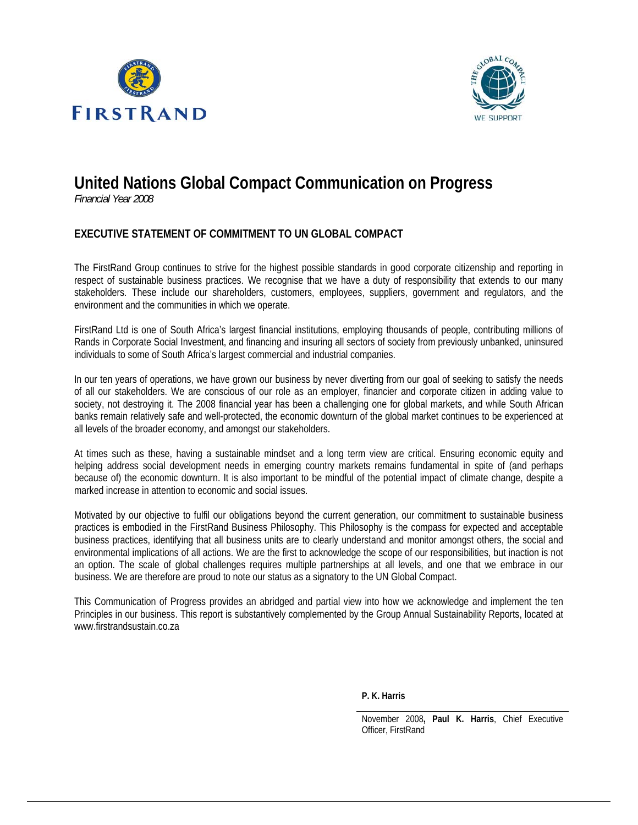



# **United Nations Global Compact Communication on Progress**

*Financial Year 2008*

## **EXECUTIVE STATEMENT OF COMMITMENT TO UN GLOBAL COMPACT**

The FirstRand Group continues to strive for the highest possible standards in good corporate citizenship and reporting in respect of sustainable business practices. We recognise that we have a duty of responsibility that extends to our many stakeholders. These include our shareholders, customers, employees, suppliers, government and regulators, and the environment and the communities in which we operate.

FirstRand Ltd is one of South Africa's largest financial institutions, employing thousands of people, contributing millions of Rands in Corporate Social Investment, and financing and insuring all sectors of society from previously unbanked, uninsured individuals to some of South Africa's largest commercial and industrial companies.

In our ten years of operations, we have grown our business by never diverting from our goal of seeking to satisfy the needs of all our stakeholders. We are conscious of our role as an employer, financier and corporate citizen in adding value to society, not destroying it. The 2008 financial year has been a challenging one for global markets, and while South African banks remain relatively safe and well-protected, the economic downturn of the global market continues to be experienced at all levels of the broader economy, and amongst our stakeholders.

At times such as these, having a sustainable mindset and a long term view are critical. Ensuring economic equity and helping address social development needs in emerging country markets remains fundamental in spite of (and perhaps because of) the economic downturn. It is also important to be mindful of the potential impact of climate change, despite a marked increase in attention to economic and social issues.

Motivated by our objective to fulfil our obligations beyond the current generation, our commitment to sustainable business practices is embodied in the FirstRand Business Philosophy. This Philosophy is the compass for expected and acceptable business practices, identifying that all business units are to clearly understand and monitor amongst others, the social and environmental implications of all actions. We are the first to acknowledge the scope of our responsibilities, but inaction is not an option. The scale of global challenges requires multiple partnerships at all levels, and one that we embrace in our business. We are therefore are proud to note our status as a signatory to the UN Global Compact.

This Communication of Progress provides an abridged and partial view into how we acknowledge and implement the ten Principles in our business. This report is substantively complemented by the Group Annual Sustainability Reports, located at www.firstrandsustain.co.za

**P. K. Harris** 

November 2008**, Paul K. Harris**, Chief Executive Officer, FirstRand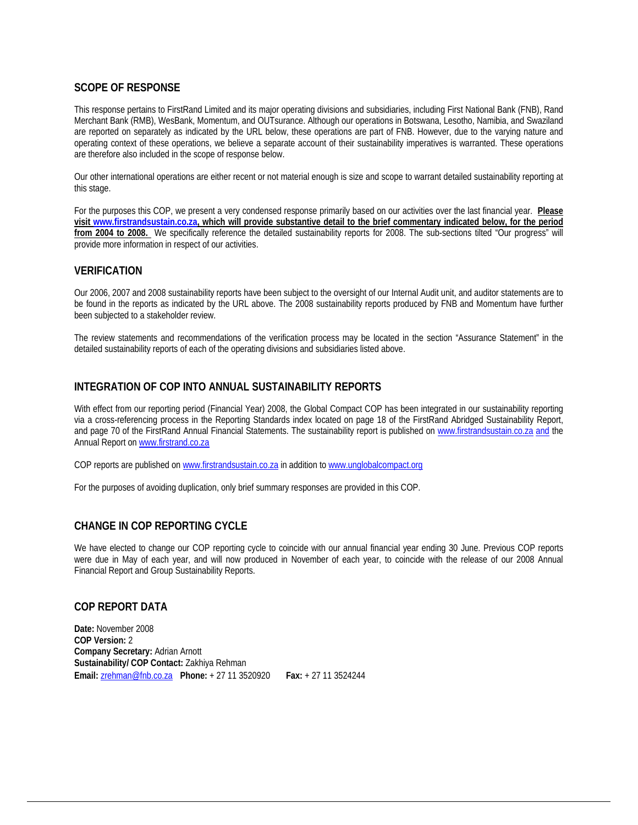### **SCOPE OF RESPONSE**

This response pertains to FirstRand Limited and its major operating divisions and subsidiaries, including First National Bank (FNB), Rand Merchant Bank (RMB), WesBank, Momentum, and OUTsurance. Although our operations in Botswana, Lesotho, Namibia, and Swaziland are reported on separately as indicated by the URL below, these operations are part of FNB. However, due to the varying nature and operating context of these operations, we believe a separate account of their sustainability imperatives is warranted. These operations are therefore also included in the scope of response below.

Our other international operations are either recent or not material enough is size and scope to warrant detailed sustainability reporting at this stage.

For the purposes this COP, we present a very condensed response primarily based on our activities over the last financial year. **Please visit www.firstrandsustain.co.za, which will provide substantive detail to the brief commentary indicated below, for the period from 2004 to 2008.** We specifically reference the detailed sustainability reports for 2008. The sub-sections tilted "Our progress" will provide more information in respect of our activities.

#### **VERIFICATION**

Our 2006, 2007 and 2008 sustainability reports have been subject to the oversight of our Internal Audit unit, and auditor statements are to be found in the reports as indicated by the URL above. The 2008 sustainability reports produced by FNB and Momentum have further been subjected to a stakeholder review.

The review statements and recommendations of the verification process may be located in the section "Assurance Statement" in the detailed sustainability reports of each of the operating divisions and subsidiaries listed above.

#### **INTEGRATION OF COP INTO ANNUAL SUSTAINABILITY REPORTS**

With effect from our reporting period (Financial Year) 2008, the Global Compact COP has been integrated in our sustainability reporting via a cross-referencing process in the Reporting Standards index located on page 18 of the FirstRand Abridged Sustainability Report, and page 70 of the FirstRand Annual Financial Statements. The sustainability report is published on www.firstrandsustain.co.za and the Annual Report on www.firstrand.co.za

COP reports are published on www.firstrandsustain.co.za in addition to www.unglobalcompact.org

For the purposes of avoiding duplication, only brief summary responses are provided in this COP.

#### **CHANGE IN COP REPORTING CYCLE**

We have elected to change our COP reporting cycle to coincide with our annual financial year ending 30 June. Previous COP reports were due in May of each year, and will now produced in November of each year, to coincide with the release of our 2008 Annual Financial Report and Group Sustainability Reports.

#### **COP REPORT DATA**

**Date:** November 2008 **COP Version:** 2 **Company Secretary:** Adrian Arnott **Sustainability/ COP Contact:** Zakhiya Rehman **Email:** zrehman@fnb.co.za **Phone:** + 27 11 3520920 **Fax:** + 27 11 3524244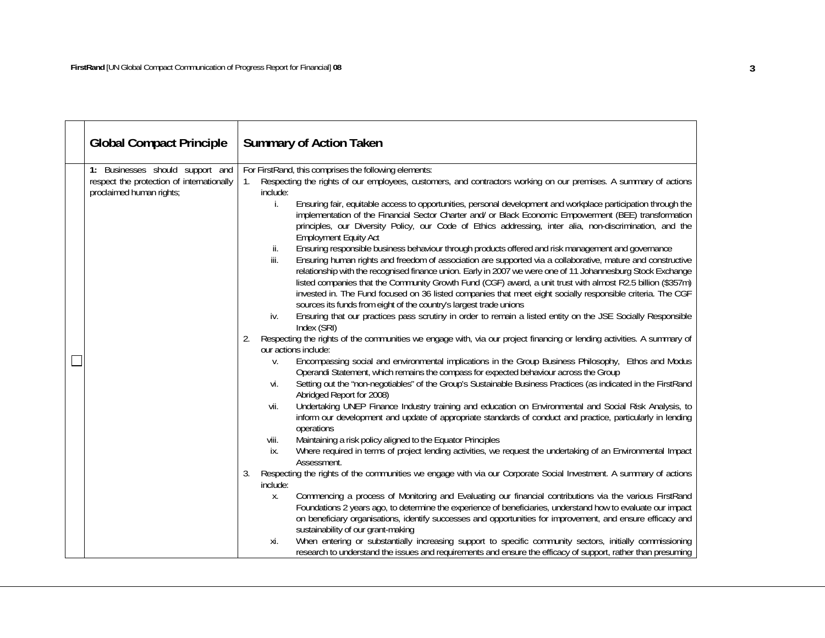| <b>Global Compact Principle</b>                                                                           | <b>Summary of Action Taken</b>                                                                                                                                                                                                                                                                                                                                                                                                                                                                                                                                                                                                                                                                                                                                                                                                                                                                                                                                                                                                                                                                                                                                                                                                                                                                                                                                                                                                                                                                                                                                                                                                                                                                                                                                                                                                                                                                                                                                                                                                                                                                                                                                                                                                                                                                                                                                                                                                                                                                                                                                                                                                                                                                                                                                                                                                                                                                                                                                                                            |
|-----------------------------------------------------------------------------------------------------------|-----------------------------------------------------------------------------------------------------------------------------------------------------------------------------------------------------------------------------------------------------------------------------------------------------------------------------------------------------------------------------------------------------------------------------------------------------------------------------------------------------------------------------------------------------------------------------------------------------------------------------------------------------------------------------------------------------------------------------------------------------------------------------------------------------------------------------------------------------------------------------------------------------------------------------------------------------------------------------------------------------------------------------------------------------------------------------------------------------------------------------------------------------------------------------------------------------------------------------------------------------------------------------------------------------------------------------------------------------------------------------------------------------------------------------------------------------------------------------------------------------------------------------------------------------------------------------------------------------------------------------------------------------------------------------------------------------------------------------------------------------------------------------------------------------------------------------------------------------------------------------------------------------------------------------------------------------------------------------------------------------------------------------------------------------------------------------------------------------------------------------------------------------------------------------------------------------------------------------------------------------------------------------------------------------------------------------------------------------------------------------------------------------------------------------------------------------------------------------------------------------------------------------------------------------------------------------------------------------------------------------------------------------------------------------------------------------------------------------------------------------------------------------------------------------------------------------------------------------------------------------------------------------------------------------------------------------------------------------------------------------------|
| 1: Businesses should support and<br>respect the protection of internationally<br>proclaimed human rights; | For FirstRand, this comprises the following elements:<br>Respecting the rights of our employees, customers, and contractors working on our premises. A summary of actions<br>1.<br>include:<br>Ensuring fair, equitable access to opportunities, personal development and workplace participation through the<br>İ.<br>implementation of the Financial Sector Charter and/ or Black Economic Empowerment (BEE) transformation<br>principles, our Diversity Policy, our Code of Ethics addressing, inter alia, non-discrimination, and the<br><b>Employment Equity Act</b><br>Ensuring responsible business behaviour through products offered and risk management and governance<br>ii.<br>iii.<br>Ensuring human rights and freedom of association are supported via a collaborative, mature and constructive<br>relationship with the recognised finance union. Early in 2007 we were one of 11 Johannesburg Stock Exchange<br>listed companies that the Community Growth Fund (CGF) award, a unit trust with almost R2.5 billion (\$357m)<br>invested in. The Fund focused on 36 listed companies that meet eight socially responsible criteria. The CGF<br>sources its funds from eight of the country's largest trade unions<br>Ensuring that our practices pass scrutiny in order to remain a listed entity on the JSE Socially Responsible<br>iv.<br>Index (SRI)<br>Respecting the rights of the communities we engage with, via our project financing or lending activities. A summary of<br>2.<br>our actions include:<br>Encompassing social and environmental implications in the Group Business Philosophy, Ethos and Modus<br>V.<br>Operandi Statement, which remains the compass for expected behaviour across the Group<br>Setting out the "non-negotiables" of the Group's Sustainable Business Practices (as indicated in the FirstRand<br>vi.<br>Abridged Report for 2008)<br>Undertaking UNEP Finance Industry training and education on Environmental and Social Risk Analysis, to<br>vii.<br>inform our development and update of appropriate standards of conduct and practice, particularly in lending<br>operations<br>Maintaining a risk policy aligned to the Equator Principles<br>viii.<br>Where required in terms of project lending activities, we request the undertaking of an Environmental Impact<br>ix.<br>Assessment.<br>Respecting the rights of the communities we engage with via our Corporate Social Investment. A summary of actions<br>3.<br>include:<br>Commencing a process of Monitoring and Evaluating our financial contributions via the various FirstRand<br>Χ.<br>Foundations 2 years ago, to determine the experience of beneficiaries, understand how to evaluate our impact<br>on beneficiary organisations, identify successes and opportunities for improvement, and ensure efficacy and<br>sustainability of our grant-making<br>When entering or substantially increasing support to specific community sectors, initially commissioning<br>xi. |
|                                                                                                           | research to understand the issues and requirements and ensure the efficacy of support, rather than presuming                                                                                                                                                                                                                                                                                                                                                                                                                                                                                                                                                                                                                                                                                                                                                                                                                                                                                                                                                                                                                                                                                                                                                                                                                                                                                                                                                                                                                                                                                                                                                                                                                                                                                                                                                                                                                                                                                                                                                                                                                                                                                                                                                                                                                                                                                                                                                                                                                                                                                                                                                                                                                                                                                                                                                                                                                                                                                              |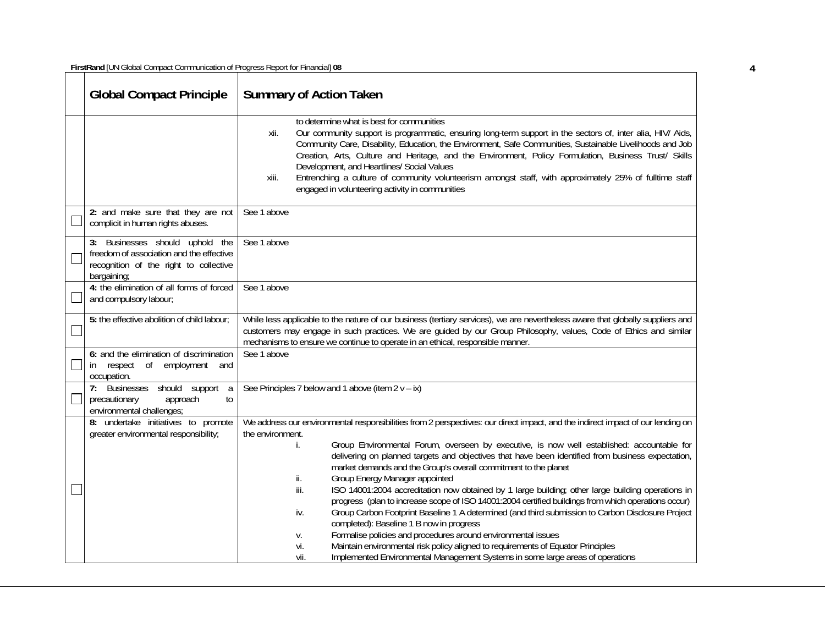**FirstRand** [UN Global Compact Communication of Progress Report for Financial] **08 4**

| <b>Global Compact Principle</b>                                                                                                      | <b>Summary of Action Taken</b>                                                                                                                                                                                                                                                                                                                                                                                                                                                                                                                                                                                                                                                                                                                                                                                                                                                                                                                                                                                                                                                                                   |
|--------------------------------------------------------------------------------------------------------------------------------------|------------------------------------------------------------------------------------------------------------------------------------------------------------------------------------------------------------------------------------------------------------------------------------------------------------------------------------------------------------------------------------------------------------------------------------------------------------------------------------------------------------------------------------------------------------------------------------------------------------------------------------------------------------------------------------------------------------------------------------------------------------------------------------------------------------------------------------------------------------------------------------------------------------------------------------------------------------------------------------------------------------------------------------------------------------------------------------------------------------------|
|                                                                                                                                      | to determine what is best for communities<br>Our community support is programmatic, ensuring long-term support in the sectors of, inter alia, HIV/ Aids,<br>xii.<br>Community Care, Disability, Education, the Environment, Safe Communities, Sustainable Livelihoods and Job<br>Creation, Arts, Culture and Heritage, and the Environment, Policy Formulation, Business Trust/ Skills<br>Development, and Heartlines/ Social Values<br>Entrenching a culture of community volunteerism amongst staff, with approximately 25% of fulltime staff<br>xiii.<br>engaged in volunteering activity in communities                                                                                                                                                                                                                                                                                                                                                                                                                                                                                                      |
| 2: and make sure that they are not<br>complicit in human rights abuses.                                                              | See 1 above                                                                                                                                                                                                                                                                                                                                                                                                                                                                                                                                                                                                                                                                                                                                                                                                                                                                                                                                                                                                                                                                                                      |
| 3: Businesses should uphold the<br>freedom of association and the effective<br>recognition of the right to collective<br>bargaining; | See 1 above                                                                                                                                                                                                                                                                                                                                                                                                                                                                                                                                                                                                                                                                                                                                                                                                                                                                                                                                                                                                                                                                                                      |
| 4: the elimination of all forms of forced<br>and compulsory labour;                                                                  | See 1 above                                                                                                                                                                                                                                                                                                                                                                                                                                                                                                                                                                                                                                                                                                                                                                                                                                                                                                                                                                                                                                                                                                      |
| 5: the effective abolition of child labour;                                                                                          | While less applicable to the nature of our business (tertiary services), we are nevertheless aware that globally suppliers and<br>customers may engage in such practices. We are quided by our Group Philosophy, values, Code of Ethics and similar<br>mechanisms to ensure we continue to operate in an ethical, responsible manner.                                                                                                                                                                                                                                                                                                                                                                                                                                                                                                                                                                                                                                                                                                                                                                            |
| 6: and the elimination of discrimination<br>respect of<br>employment<br>in.<br>and<br>occupation.                                    | See 1 above                                                                                                                                                                                                                                                                                                                                                                                                                                                                                                                                                                                                                                                                                                                                                                                                                                                                                                                                                                                                                                                                                                      |
| 7: Businesses should support<br><sub>a</sub><br>approach<br>to<br>precautionary<br>environmental challenges;                         | See Principles 7 below and 1 above (item $2v - ix$ )                                                                                                                                                                                                                                                                                                                                                                                                                                                                                                                                                                                                                                                                                                                                                                                                                                                                                                                                                                                                                                                             |
| 8: undertake initiatives to promote<br>greater environmental responsibility;                                                         | We address our environmental responsibilities from 2 perspectives: our direct impact, and the indirect impact of our lending on<br>the environment.<br>Group Environmental Forum, overseen by executive, is now well established: accountable for<br>İ.<br>delivering on planned targets and objectives that have been identified from business expectation,<br>market demands and the Group's overall commitment to the planet<br>Group Energy Manager appointed<br>ii.<br>iii.<br>ISO 14001:2004 accreditation now obtained by 1 large building; other large building operations in<br>progress (plan to increase scope of ISO 14001:2004 certified buildings from which operations occur)<br>Group Carbon Footprint Baseline 1 A determined (and third submission to Carbon Disclosure Project<br>iv.<br>completed): Baseline 1 B now in progress<br>Formalise policies and procedures around environmental issues<br>V.<br>Maintain environmental risk policy aligned to requirements of Equator Principles<br>vi.<br>Implemented Environmental Management Systems in some large areas of operations<br>vii. |

 $\overline{4}$